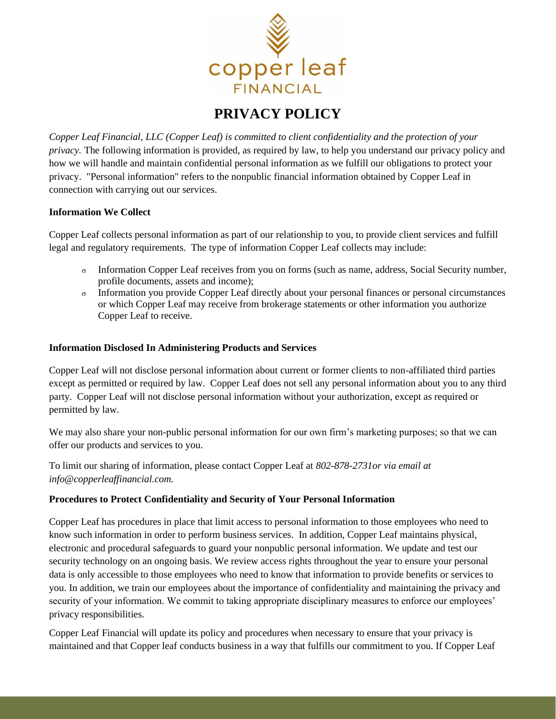

## **PRIVACY POLICY**

*Copper Leaf Financial, LLC (Copper Leaf) is committed to client confidentiality and the protection of your privacy.* The following information is provided, as required by law, to help you understand our privacy policy and how we will handle and maintain confidential personal information as we fulfill our obligations to protect your privacy. "Personal information" refers to the nonpublic financial information obtained by Copper Leaf in connection with carrying out our services.

## **Information We Collect**

Copper Leaf collects personal information as part of our relationship to you, to provide client services and fulfill legal and regulatory requirements. The type of information Copper Leaf collects may include:

- $\sigma$  Information Copper Leaf receives from you on forms (such as name, address, Social Security number, profile documents, assets and income);
- $\sigma$  Information you provide Copper Leaf directly about your personal finances or personal circumstances or which Copper Leaf may receive from brokerage statements or other information you authorize Copper Leaf to receive.

## **Information Disclosed In Administering Products and Services**

Copper Leaf will not disclose personal information about current or former clients to non-affiliated third parties except as permitted or required by law. Copper Leaf does not sell any personal information about you to any third party. Copper Leaf will not disclose personal information without your authorization, except as required or permitted by law.

We may also share your non-public personal information for our own firm's marketing purposes; so that we can offer our products and services to you.

To limit our sharing of information, please contact Copper Leaf at *802-878-2731or via email at info@copperleaffinancial.com.*

## **Procedures to Protect Confidentiality and Security of Your Personal Information**

Copper Leaf has procedures in place that limit access to personal information to those employees who need to know such information in order to perform business services. In addition, Copper Leaf maintains physical, electronic and procedural safeguards to guard your nonpublic personal information. We update and test our security technology on an ongoing basis. We review access rights throughout the year to ensure your personal data is only accessible to those employees who need to know that information to provide benefits or services to you. In addition, we train our employees about the importance of confidentiality and maintaining the privacy and security of your information. We commit to taking appropriate disciplinary measures to enforce our employees' privacy responsibilities.

Copper Leaf Financial will update its policy and procedures when necessary to ensure that your privacy is maintained and that Copper leaf conducts business in a way that fulfills our commitment to you. If Copper Leaf